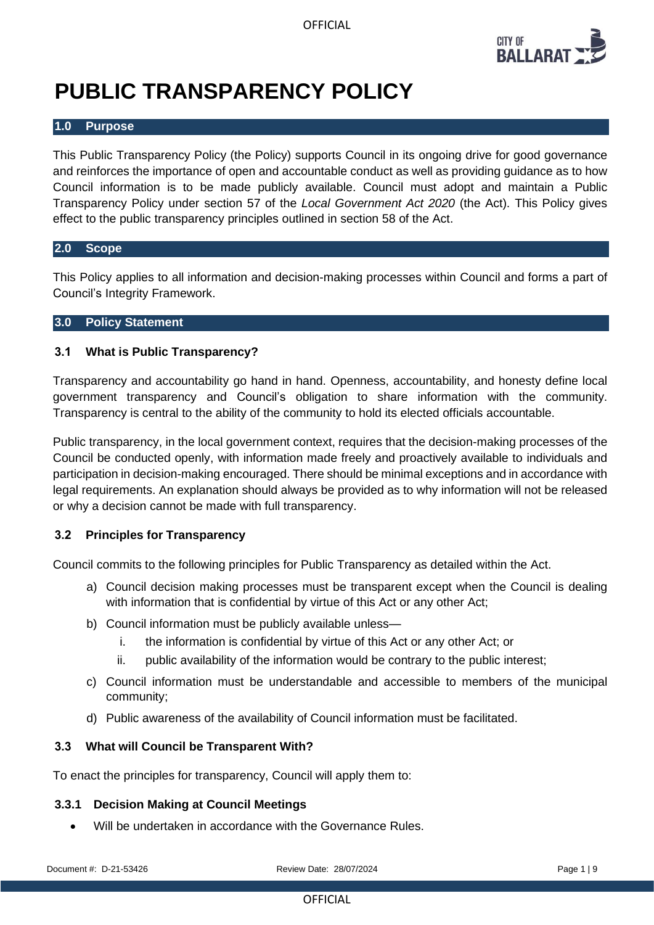

# **PUBLIC TRANSPARENCY POLICY**

#### **1.0 Purpose**

This Public Transparency Policy (the Policy) supports Council in its ongoing drive for good governance and reinforces the importance of open and accountable conduct as well as providing guidance as to how Council information is to be made publicly available. Council must adopt and maintain a Public Transparency Policy under section 57 of the *Local Government Act 2020* (the Act). This Policy gives effect to the public transparency principles outlined in section 58 of the Act.

#### **2.0 Scope**

This Policy applies to all information and decision-making processes within Council and forms a part of Council's Integrity Framework.

#### **3.0 Policy Statement**

# **3.1 What is Public Transparency?**

Transparency and accountability go hand in hand. Openness, accountability, and honesty define local government transparency and Council's obligation to share information with the community. Transparency is central to the ability of the community to hold its elected officials accountable.

Public transparency, in the local government context, requires that the decision-making processes of the Council be conducted openly, with information made freely and proactively available to individuals and participation in decision-making encouraged. There should be minimal exceptions and in accordance with legal requirements. An explanation should always be provided as to why information will not be released or why a decision cannot be made with full transparency.

# **3.2 Principles for Transparency**

Council commits to the following principles for Public Transparency as detailed within the Act.

- a) Council decision making processes must be transparent except when the Council is dealing with information that is confidential by virtue of this Act or any other Act;
- b) Council information must be publicly available unless
	- i. the information is confidential by virtue of this Act or any other Act; or
	- ii. public availability of the information would be contrary to the public interest;
- c) Council information must be understandable and accessible to members of the municipal community;
- d) Public awareness of the availability of Council information must be facilitated.

#### **3.3 What will Council be Transparent With?**

To enact the principles for transparency, Council will apply them to:

# **3.3.1 Decision Making at Council Meetings**

Will be undertaken in accordance with the Governance Rules.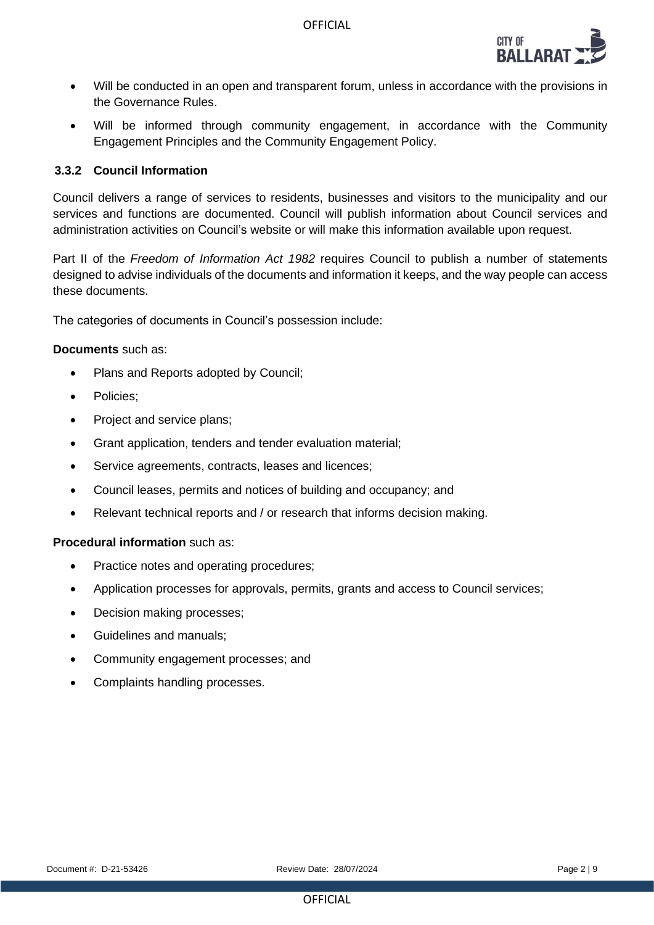

- Will be conducted in an open and transparent forum, unless in accordance with the provisions in the Governance Rules.
- Will be informed through community engagement, in accordance with the Community Engagement Principles and the Community Engagement Policy.

#### **3.3.2 Council Information**

Council delivers a range of services to residents, businesses and visitors to the municipality and our services and functions are documented. Council will publish information about Council services and administration activities on Council's website or will make this information available upon request.

Part II of the *Freedom of Information Act 1982* requires Council to publish a number of statements designed to advise individuals of the documents and information it keeps, and the way people can access these documents.

The categories of documents in Council's possession include:

#### **Documents** such as:

- Plans and Reports adopted by Council;
- Policies;
- Project and service plans;
- Grant application, tenders and tender evaluation material;
- Service agreements, contracts, leases and licences;
- Council leases, permits and notices of building and occupancy; and
- Relevant technical reports and / or research that informs decision making.

#### **Procedural information** such as:

- Practice notes and operating procedures;
- Application processes for approvals, permits, grants and access to Council services;
- Decision making processes;
- Guidelines and manuals;
- Community engagement processes; and
- Complaints handling processes.

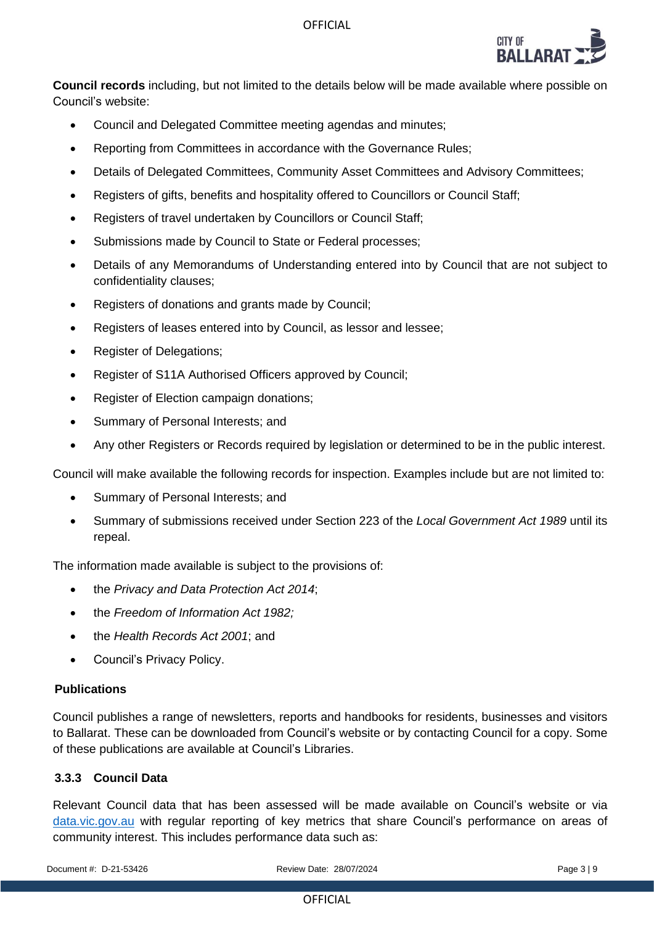

**Council records** including, but not limited to the details below will be made available where possible on Council's website:

- Council and Delegated Committee meeting agendas and minutes;
- Reporting from Committees in accordance with the Governance Rules;
- Details of Delegated Committees, Community Asset Committees and Advisory Committees;
- Registers of gifts, benefits and hospitality offered to Councillors or Council Staff;
- Registers of travel undertaken by Councillors or Council Staff;
- Submissions made by Council to State or Federal processes;
- Details of any Memorandums of Understanding entered into by Council that are not subject to confidentiality clauses;
- Registers of donations and grants made by Council;
- Registers of leases entered into by Council, as lessor and lessee;
- Register of Delegations;
- Register of S11A Authorised Officers approved by Council;
- Register of Election campaign donations;
- Summary of Personal Interests; and
- Any other Registers or Records required by legislation or determined to be in the public interest.

Council will make available the following records for inspection. Examples include but are not limited to:

- Summary of Personal Interests; and
- Summary of submissions received under Section 223 of the *Local Government Act 1989* until its repeal.

The information made available is subject to the provisions of:

- the *Privacy and Data Protection Act 2014*;
- the *Freedom of Information Act 1982;*
- the *Health Records Act 2001*; and
- Council's Privacy Policy.

# **Publications**

Council publishes a range of newsletters, reports and handbooks for residents, businesses and visitors to Ballarat. These can be downloaded from Council's website or by contacting Council for a copy. Some of these publications are available at Council's Libraries.

# **3.3.3 Council Data**

Relevant Council data that has been assessed will be made available on Council's website or via <data.vic.gov.au> with regular reporting of key metrics that share Council's performance on areas of community interest. This includes performance data such as:

Document #: D-21-53426 Review Date: 28/07/2024 Page 3 | 9

**OFFICIAL**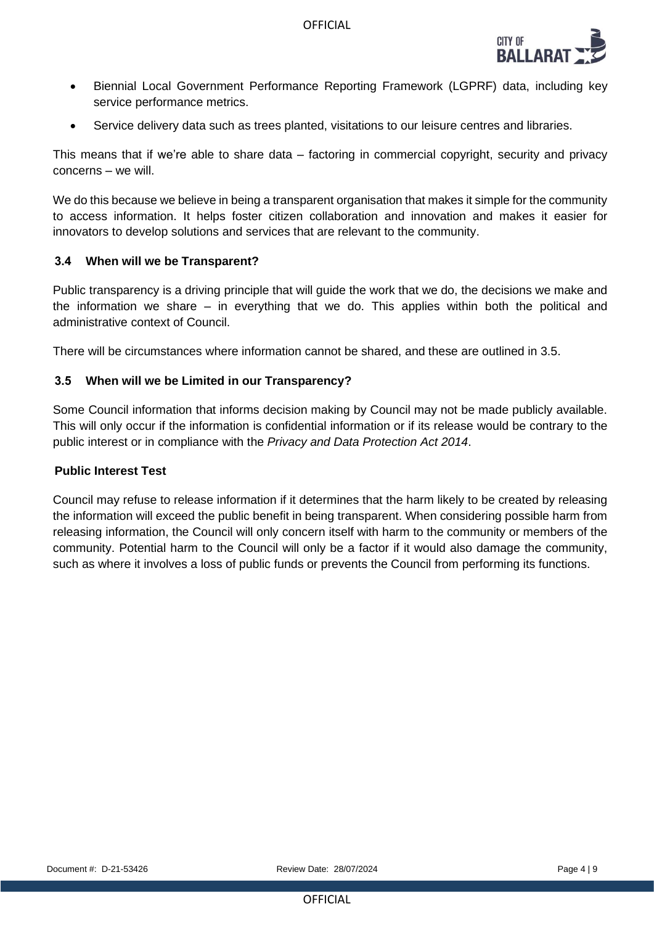

- Biennial Local Government Performance Reporting Framework (LGPRF) data, including key service performance metrics.
- Service delivery data such as trees planted, visitations to our leisure centres and libraries.

This means that if we're able to share data – factoring in commercial copyright, security and privacy concerns – we will.

We do this because we believe in being a transparent organisation that makes it simple for the community to access information. It helps foster citizen collaboration and innovation and makes it easier for innovators to develop solutions and services that are relevant to the community.

# **3.4 When will we be Transparent?**

Public transparency is a driving principle that will guide the work that we do, the decisions we make and the information we share – in everything that we do. This applies within both the political and administrative context of Council.

There will be circumstances where information cannot be shared, and these are outlined in [3.5.](#page-3-0)

#### <span id="page-3-0"></span>**3.5 When will we be Limited in our Transparency?**

Some Council information that informs decision making by Council may not be made publicly available. This will only occur if the information is confidential information or if its release would be contrary to the public interest or in compliance with the *Privacy and Data Protection Act 2014*.

#### **Public Interest Test**

Council may refuse to release information if it determines that the harm likely to be created by releasing the information will exceed the public benefit in being transparent. When considering possible harm from releasing information, the Council will only concern itself with harm to the community or members of the community. Potential harm to the Council will only be a factor if it would also damage the community, such as where it involves a loss of public funds or prevents the Council from performing its functions.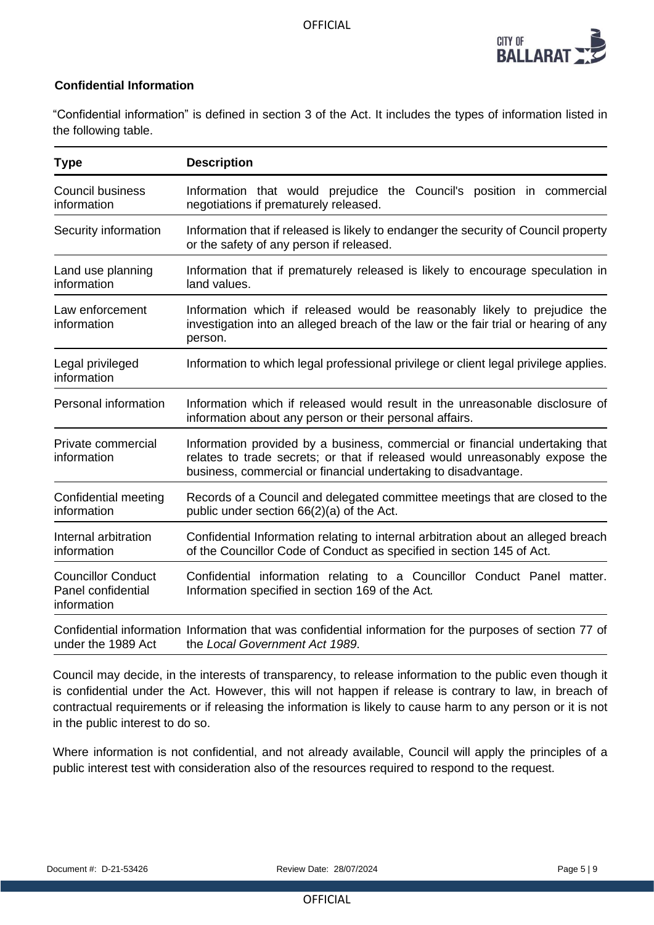

# **Confidential Information**

"Confidential information" is defined in section 3 of the Act. It includes the types of information listed in the following table.

| <b>Type</b>                                                    | <b>Description</b>                                                                                                                                                                                                            |  |
|----------------------------------------------------------------|-------------------------------------------------------------------------------------------------------------------------------------------------------------------------------------------------------------------------------|--|
| <b>Council business</b><br>information                         | Information that would prejudice the Council's position in commercial<br>negotiations if prematurely released.                                                                                                                |  |
| Security information                                           | Information that if released is likely to endanger the security of Council property<br>or the safety of any person if released.                                                                                               |  |
| Land use planning<br>information                               | Information that if prematurely released is likely to encourage speculation in<br>land values.                                                                                                                                |  |
| Law enforcement<br>information                                 | Information which if released would be reasonably likely to prejudice the<br>investigation into an alleged breach of the law or the fair trial or hearing of any<br>person.                                                   |  |
| Legal privileged<br>information                                | Information to which legal professional privilege or client legal privilege applies.                                                                                                                                          |  |
| Personal information                                           | Information which if released would result in the unreasonable disclosure of<br>information about any person or their personal affairs.                                                                                       |  |
| Private commercial<br>information                              | Information provided by a business, commercial or financial undertaking that<br>relates to trade secrets; or that if released would unreasonably expose the<br>business, commercial or financial undertaking to disadvantage. |  |
| Confidential meeting<br>information                            | Records of a Council and delegated committee meetings that are closed to the<br>public under section 66(2)(a) of the Act.                                                                                                     |  |
| Internal arbitration<br>information                            | Confidential Information relating to internal arbitration about an alleged breach<br>of the Councillor Code of Conduct as specified in section 145 of Act.                                                                    |  |
| <b>Councillor Conduct</b><br>Panel confidential<br>information | Confidential information relating to a Councillor Conduct Panel matter.<br>Information specified in section 169 of the Act.                                                                                                   |  |
| under the 1989 Act                                             | Confidential information Information that was confidential information for the purposes of section 77 of<br>the Local Government Act 1989.                                                                                    |  |

Council may decide, in the interests of transparency, to release information to the public even though it is confidential under the Act. However, this will not happen if release is contrary to law, in breach of contractual requirements or if releasing the information is likely to cause harm to any person or it is not in the public interest to do so.

Where information is not confidential, and not already available, Council will apply the principles of a public interest test with consideration also of the resources required to respond to the request.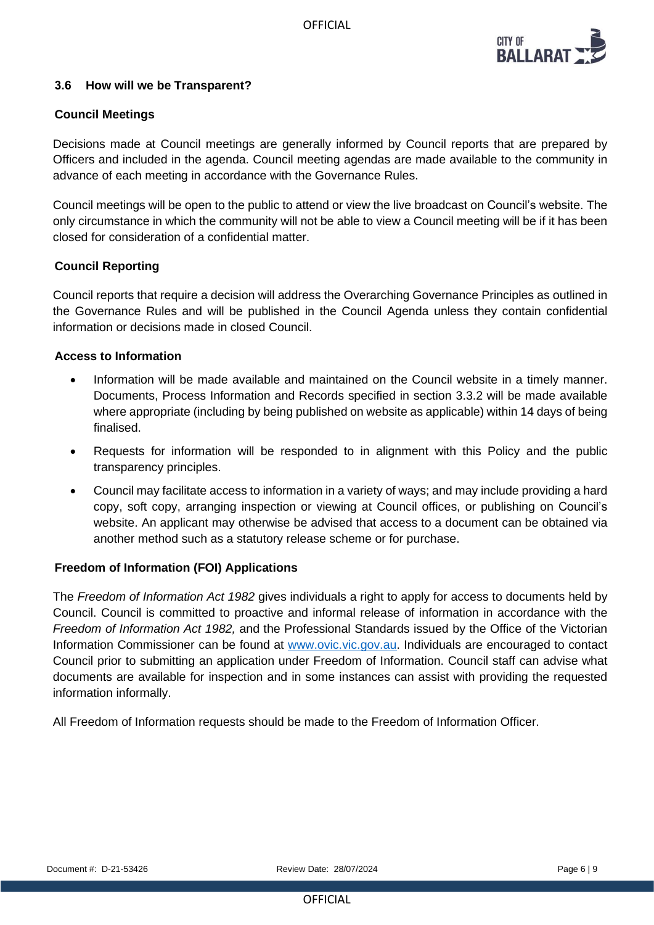

# **3.6 How will we be Transparent?**

# **Council Meetings**

Decisions made at Council meetings are generally informed by Council reports that are prepared by Officers and included in the agenda. Council meeting agendas are made available to the community in advance of each meeting in accordance with the Governance Rules.

Council meetings will be open to the public to attend or view the live broadcast on Council's website. The only circumstance in which the community will not be able to view a Council meeting will be if it has been closed for consideration of a confidential matter.

# **Council Reporting**

Council reports that require a decision will address the Overarching Governance Principles as outlined in the Governance Rules and will be published in the Council Agenda unless they contain confidential information or decisions made in closed Council.

# **Access to Information**

- Information will be made available and maintained on the Council website in a timely manner. Documents, Process Information and Records specified in section 3.3.2 will be made available where appropriate (including by being published on website as applicable) within 14 days of being finalised.
- Requests for information will be responded to in alignment with this Policy and the public transparency principles.
- Council may facilitate access to information in a variety of ways; and may include providing a hard copy, soft copy, arranging inspection or viewing at Council offices, or publishing on Council's website. An applicant may otherwise be advised that access to a document can be obtained via another method such as a statutory release scheme or for purchase.

# **Freedom of Information (FOI) Applications**

The *Freedom of Information Act 1982* gives individuals a right to apply for access to documents held by Council. Council is committed to proactive and informal release of information in accordance with the *Freedom of Information Act 1982,* and the Professional Standards issued by the Office of the Victorian Information Commissioner can be found at [www.ovic.vic.gov.au.](http://www.ovic.vic.gov.au/) Individuals are encouraged to contact Council prior to submitting an application under Freedom of Information. Council staff can advise what documents are available for inspection and in some instances can assist with providing the requested information informally.

All Freedom of Information requests should be made to the Freedom of Information Officer.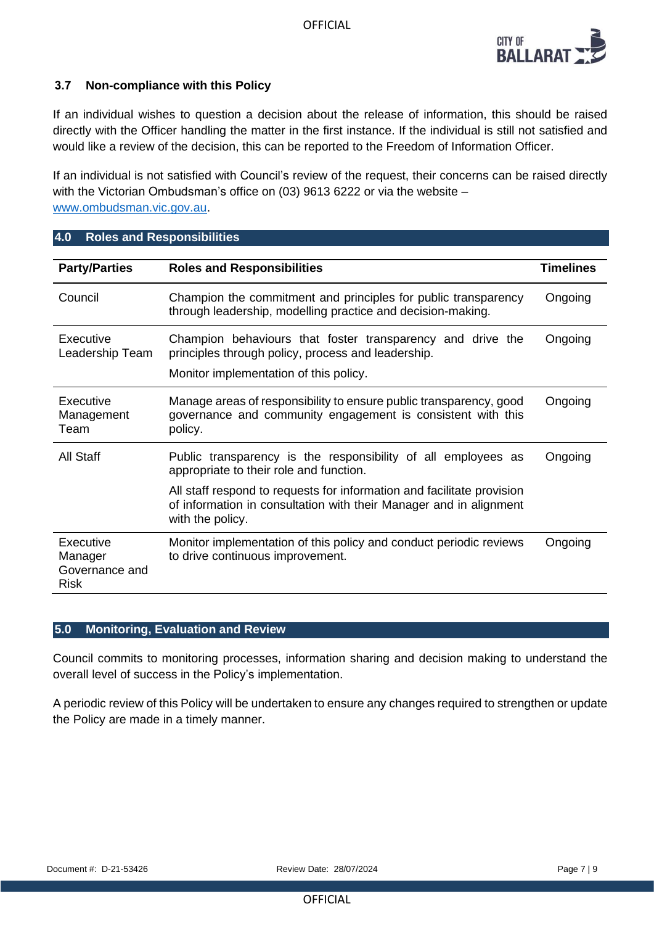

# **3.7 Non-compliance with this Policy**

If an individual wishes to question a decision about the release of information, this should be raised directly with the Officer handling the matter in the first instance. If the individual is still not satisfied and would like a review of the decision, this can be reported to the Freedom of Information Officer.

If an individual is not satisfied with Council's review of the request, their concerns can be raised directly with the Victorian Ombudsman's office on (03) 9613 6222 or via the website – [www.ombudsman.vic.gov.au.](http://www.ombudsman.vic.gov.au/)

# **4.0 Roles and Responsibilities**

| <b>Party/Parties</b>                                  | <b>Roles and Responsibilities</b>                                                                                                                                | <b>Timelines</b> |
|-------------------------------------------------------|------------------------------------------------------------------------------------------------------------------------------------------------------------------|------------------|
| Council                                               | Champion the commitment and principles for public transparency<br>through leadership, modelling practice and decision-making.                                    | Ongoing          |
| Executive<br>Leadership Team                          | Champion behaviours that foster transparency and drive the<br>principles through policy, process and leadership.<br>Monitor implementation of this policy.       | Ongoing          |
| Executive<br>Management<br>Team                       | Manage areas of responsibility to ensure public transparency, good<br>governance and community engagement is consistent with this<br>policy.                     | Ongoing          |
| <b>All Staff</b>                                      | Public transparency is the responsibility of all employees as<br>appropriate to their role and function.                                                         | Ongoing          |
|                                                       | All staff respond to requests for information and facilitate provision<br>of information in consultation with their Manager and in alignment<br>with the policy. |                  |
| Executive<br>Manager<br>Governance and<br><b>Risk</b> | Monitor implementation of this policy and conduct periodic reviews<br>to drive continuous improvement.                                                           | Ongoing          |

# **5.0 Monitoring, Evaluation and Review**

Council commits to monitoring processes, information sharing and decision making to understand the overall level of success in the Policy's implementation.

A periodic review of this Policy will be undertaken to ensure any changes required to strengthen or update the Policy are made in a timely manner.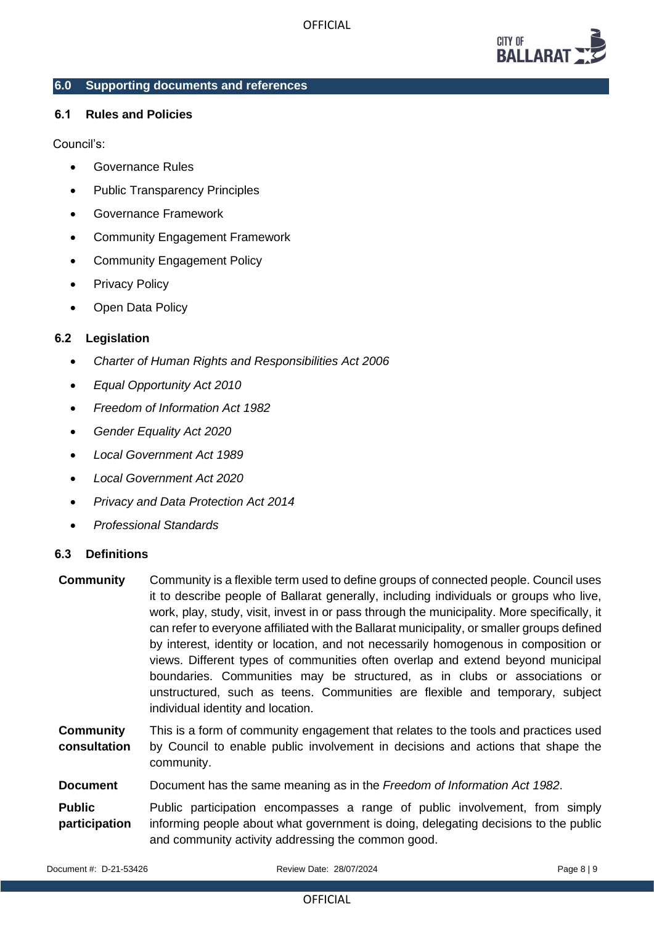

#### **6.0 Supporting documents and references**

# **6.1 Rules and Policies**

#### Council's:

- Governance Rules
- Public Transparency Principles
- Governance Framework
- Community Engagement Framework
- Community Engagement Policy
- Privacy Policy
- Open Data Policy

# **6.2 Legislation**

- *Charter of Human Rights and Responsibilities Act 2006*
- *Equal Opportunity Act 2010*
- *Freedom of Information Act 1982*
- *Gender Equality Act 2020*
- *Local Government Act 1989*
- *Local Government Act 2020*
- *Privacy and Data Protection Act 2014*
- *Professional Standards*

# **6.3 Definitions**

| <b>Community</b>                 | Community is a flexible term used to define groups of connected people. Council uses<br>it to describe people of Ballarat generally, including individuals or groups who live,<br>work, play, study, visit, invest in or pass through the municipality. More specifically, it<br>can refer to everyone affiliated with the Ballarat municipality, or smaller groups defined<br>by interest, identity or location, and not necessarily homogenous in composition or<br>views. Different types of communities often overlap and extend beyond municipal<br>boundaries. Communities may be structured, as in clubs or associations or<br>unstructured, such as teens. Communities are flexible and temporary, subject<br>individual identity and location. |
|----------------------------------|---------------------------------------------------------------------------------------------------------------------------------------------------------------------------------------------------------------------------------------------------------------------------------------------------------------------------------------------------------------------------------------------------------------------------------------------------------------------------------------------------------------------------------------------------------------------------------------------------------------------------------------------------------------------------------------------------------------------------------------------------------|
| <b>Community</b><br>consultation | This is a form of community engagement that relates to the tools and practices used<br>by Council to enable public involvement in decisions and actions that shape the<br>community.                                                                                                                                                                                                                                                                                                                                                                                                                                                                                                                                                                    |
| <b>Document</b>                  | Document has the same meaning as in the Freedom of Information Act 1982.                                                                                                                                                                                                                                                                                                                                                                                                                                                                                                                                                                                                                                                                                |
| <b>Public</b><br>participation   | Public participation encompasses a range of public involvement, from simply<br>informing people about what government is doing, delegating decisions to the public<br>and community activity addressing the common good.                                                                                                                                                                                                                                                                                                                                                                                                                                                                                                                                |